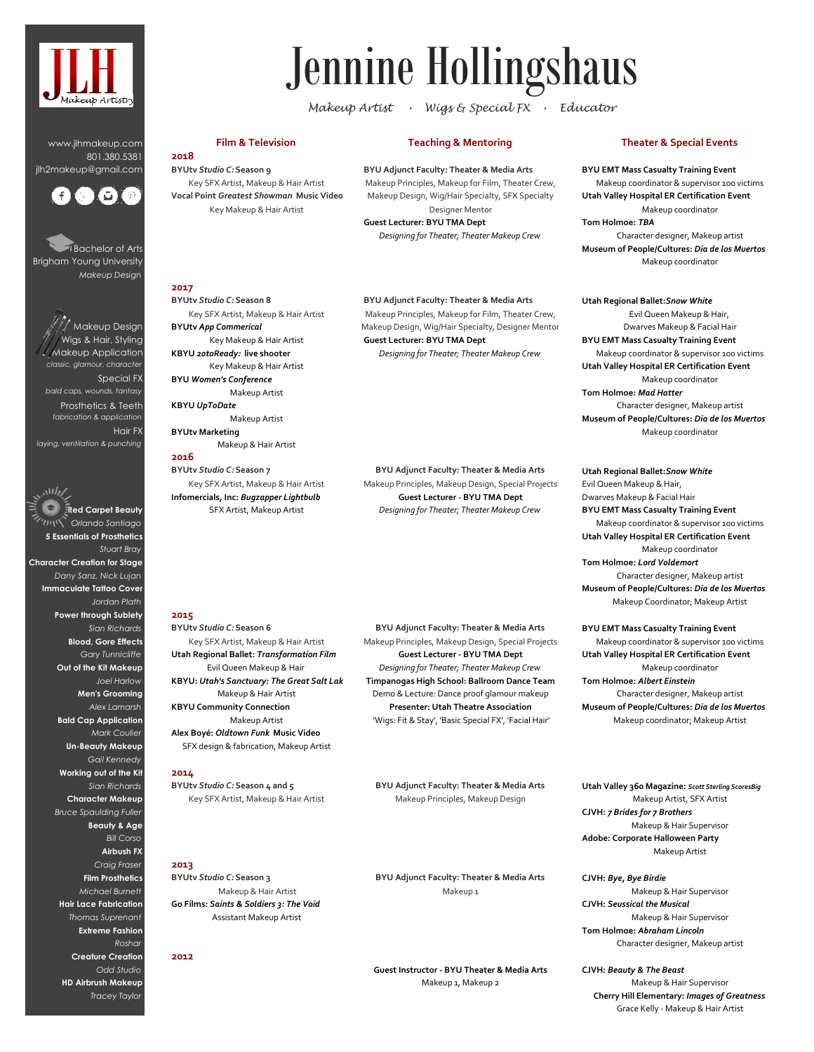

www.jlhmakeup.com 801.380.5381 jlh2makeup@gmail.com



Bachelor of Arts Brigham Young University *Makeup Design*

.<br>Makeup Design Wigs & Hair, Styling Makeup Application  *classic, glamour, character* Special FX  *bald caps, wounds, fantasy* Prosthetics & Teeth *fabrication & application* Hair FX *laying, ventilation & punching*

سيما المهندي **Red Carpet Beauty** *Orlando Santiago* **5 Essentials of Prosthetics** *Stuart Bray* **Character Creation for Stage** *Dany Sanz, Nick Lujan* **Immaculate Tattoo Cover** *Jordan Plath* **Power through Sublety** *Sian Richards* **Blood, Gore Effects** *Gary Tunnicliffe* **Out of the Kit Makeup** *Joel Harlow* **Men's Grooming** *Alex Lamarsh* **Bald Cap Application** *Mark Coulier* **Un-Beauty Makeup** *Gail Kennedy* **Working out of the Kit** *Sian Richards* **Character Makeup** *Bruce Spaulding Fuller* **Beauty & Age** *Bill Corso* **Airbush FX** *Craig Fraser* **Film Prosthetics** *Michael Burnett* **Hair Lace Fabrication** *Thomas Suprenant* **Extreme Fashion** *Roshar* **Creature Creation** *Odd Studio* **HD Airbrush Makeup** *Tracey Taylor*

# Jennine Hollingshaus

*Makeup Artist • Wigs & Special FX • Educator* 

**BYUtv** *Studio C:* **Season 9 2018** Key SFX Artist, Makeup & Hair Artist

Key Makeup & Hair Artist

Makeup Artist

Key SFX Artist, Makeup & Hair Artist

**Infomercials, Inc:** *Bugzapper Lightbulb* SFX Artist, Makeup Artist

Makeup & Hair Artist

Makeup Artist

Key Makeup & Hair Artist

Key Makeup & Hair Artist

**BYUtv** *App Commerical*

**BYUtv Marketing**

**KBYU** *UpToDate*

**BYUtv** *Studio C:* **Season 7** 

**2016**

**2017**

**KBYU** *20toReady:* **live shooter**

**BYU** *Women's Conference*

**BYU Adjunct Faculty: Theater & Media Arts**  Makeup Principles, Makeup for Film, Theater Crew,

**Guest Lecturer: BYU TMA Dept** *Designing for Theater; Theater Makeup Crew* Designer Mentor

# **Film & Television Teaching & Mentoring Theater & Special Events**

# **BYU EMT Mass Casualty Training Event**

Vocal Point Greatest Showman Music Video Makeup Design, Wig/Hair Specialty, SFX Specialty **Utah Valley Hospital ER Certification Event** Makeup coordinator & supervisor 100 victims Makeup coordinator **Tom Holmoe:** *TBA* Character designer, Makeup artist

**Museum of People/Cultures:** *Dia de los Muertos* Makeup coordinator

**Utah Regional Ballet:***Snow White*

Evil Queen Makeup & Hair, Dwarves Makeup & Facial Hair Makeup coordinator Makeup coordinator & supervisor 100 victims **Utah Valley Hospital ER Certification Event** Makeup coordinator Character designer, Makeup artist **Museum of People/Cultures:** *Dia de los Muertos* **BYU EMT Mass Casualty Training Event Tom Holmoe:** *Mad Hatter*

**Utah Regional Ballet:***Snow White* Evil Queen Makeup & Hair, Dwarves Makeup & Facial Hair **BYU EMT Mass Casualty Training Event** Makeup coordinator & supervisor 100 victims **Utah Valley Hospital ER Certification Event** Makeup coordinator **Tom Holmoe:** *Lord Voldemort* Character designer, Makeup artist

**Museum of People/Cultures:** *Dia de los Muertos* Makeup Coordinator; Makeup Artist

Makeup coordinator; Makeup Artist **BYU EMT Mass Casualty Training Event** Makeup coordinator & supervisor 100 victims **Utah Valley Hospital ER Certification Event** Makeup coordinator **Tom Holmoe:** *Albert Einstein* Character designer, Makeup artist **Museum of People/Cultures:** *Dia de los Muertos*

**Utah Valley 360 Magazine:** *Scott Sterling ScoresBig* Makeup Artist, SFX Artist **CJVH:** *7 Brides for 7 Brothers* Makeup & Hair Supervisor **Adobe: Corporate Halloween Party** Makeup Artist

Makeup & Hair Supervisor **Tom Holmoe:** *Abraham Lincoln* **CJVH:** *Bye, Bye Birdie* Makeup & Hair Supervisor **CJVH:** *Seussical the Musical* Character designer, Makeup artist

**CJVH:** *Beauty & The Beast* Makeup & Hair Supervisor Grace Kelly - Makeup & Hair Artist **Cherry Hill Elementary:** *Images of Greatness*

# **BYUtv** *Studio C:* **Season 8 BYU Adjunct Faculty: Theater & Media Arts**  Key SFX Artist, Makeup & Hair Artist Makeup Principles, Makeup for Film, Theater Crew, Makeup Design, Wig/Hair Specialty, Designer Mentor **Guest Lecturer: BYU TMA Dept**

*Designing for Theater; Theater Makeup Crew*

**BYU Adjunct Faculty: Theater & Media Arts**  Makeup Principles, Makeup Design, Special Projects **Guest Lecturer - BYU TMA Dept** *Designing for Theater; Theater Makeup Crew*

### **2015**

**Alex Boyé:** *Oldtown Funk* **Music Video** SFX design & fabrication, Makeup Artist **BYUtv** *Studio C:* **Season 6**  Key SFX Artist, Makeup & Hair Artist **Utah Regional Ballet:** *Transformation Film* Evil Queen Makeup & Hair **KBYU:** *Utah's Sanctuary: The Great Salt Lake* Makeup & Hair Artist **KBYU Community Connection** Makeup Artist

**2014**

**BYUtv** *Studio C:* **Season 4 and 5**  Key SFX Artist, Makeup & Hair Artist

**2013**

**BYUtv** *Studio C:* **Season 3** Makeup & Hair Artist **Go Films:** *Saints & Soldiers 3: The Void* Assistant Makeup Artist

**2012**

**BYU Adjunct Faculty: Theater & Media Arts**  Makeup Principles, Makeup Design, Special Projects **Guest Lecturer - BYU TMA Dept** *Designing for Theater; Theater Makeup Crew* **Timpanogas High School: Ballroom Dance Team** Demo & Lecture: Dance proof glamour makeup **Presenter: Utah Theatre Association**

'Wigs: Fit & Stay', 'Basic Special FX', 'Facial Hair'

**BYU Adjunct Faculty: Theater & Media Arts**  Makeup Principles, Makeup Design

**BYU Adjunct Faculty: Theater & Media Arts**  Makeup 1

**Guest Instructor - BYU Theater & Media Arts** Makeup 1, Makeup 2